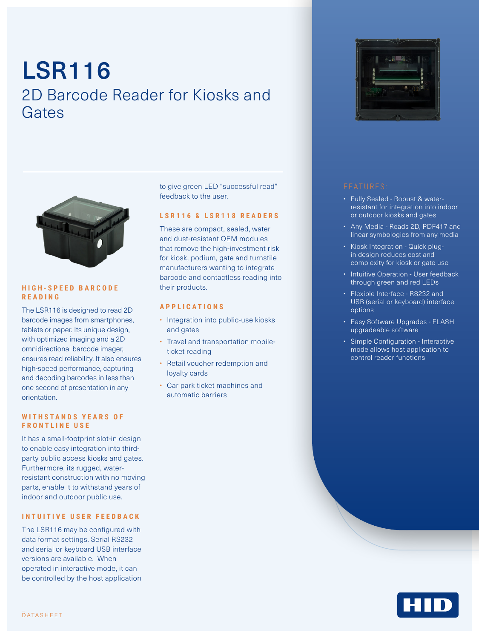# LSR116 2D Barcode Reader for Kiosks and Gates



#### **H I G H - S P E E D B A R C O D E READING**

The LSR116 is designed to read 2D barcode images from smartphones, tablets or paper. Its unique design, with optimized imaging and a 2D omnidirectional barcode imager, ensures read reliability. It also ensures high-speed performance, capturing and decoding barcodes in less than one second of presentation in any orientation.

#### WITH STANDS YEARS OF **FRONTLINE USE**

It has a small-footprint slot-in design to enable easy integration into thirdparty public access kiosks and gates. Furthermore, its rugged, waterresistant construction with no moving parts, enable it to withstand years of indoor and outdoor public use.

## **INTUITIVE USER FEEDBACK**

The LSR116 may be configured with data format settings. Serial RS232 and serial or keyboard USB interface versions are available. When operated in interactive mode, it can be controlled by the host application to give green LED "successful read" feedback to the user.

#### **LSR116 & LSR118 READERS**

These are compact, sealed, water and dust-resistant OEM modules that remove the high-investment risk for kiosk, podium, gate and turnstile manufacturers wanting to integrate barcode and contactless reading into their products.

### **APPLICATIONS**

- Integration into public-use kiosks and gates
- Travel and transportation mobileticket reading
- Retail voucher redemption and loyalty cards
- Car park ticket machines and automatic barriers



- Fully Sealed Robust & waterresistant for integration into indoor or outdoor kiosks and gates
- Any Media Reads 2D, PDF417 and linear symbologies from any media
- Kiosk Integration Quick plugin design reduces cost and complexity for kiosk or gate use
- Intuitive Operation User feedback through green and red LEDs
- Flexible Interface RS232 and USB (serial or keyboard) interface options
- Easy Software Upgrades FLASH upgradeable software
- Simple Configuration Interactive mode allows host application to control reader functions